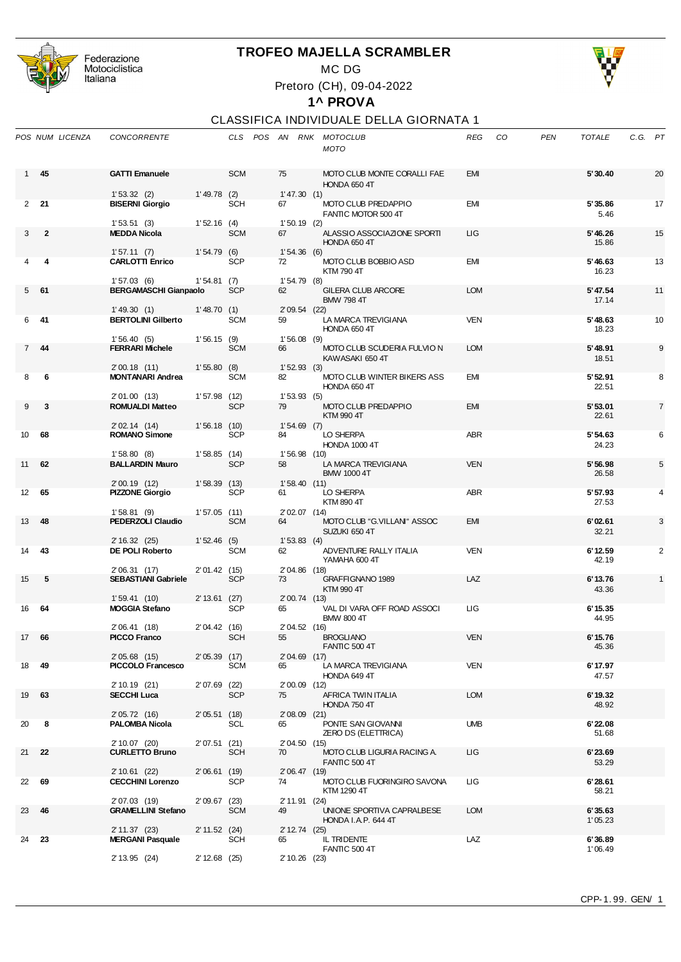

Federazione<br>Motociclistica<br>Italiana

## **TROFEO MAJELLA SCRAMBLER**

MC DG

Pretoro (CH), 09-04-2022

## **1^ PROVA**

## CLASSIFICA INDIVIDUALE DELLA GIORNATA 1

|                 | POS NUM LICENZA | <b>CONCORRENTE</b>                          |                 |            |    |                | CLS POS AN RNK MOTOCLUB<br><b>MOTO</b>         | REG        | CO | <b>PEN</b> | <b>TOTALE</b>     | C.G. PT |                |
|-----------------|-----------------|---------------------------------------------|-----------------|------------|----|----------------|------------------------------------------------|------------|----|------------|-------------------|---------|----------------|
| 1               | 45              | <b>GATTI Emanuele</b>                       |                 | <b>SCM</b> | 75 |                | MOTO CLUB MONTE CORALLI FAE<br>HONDA 650 4T    | <b>EMI</b> |    |            | 5'30.40           |         | 20             |
|                 | $2^{\sim}21$    | 1'53.32(2)                                  | 1'49.78(2)      | <b>SCH</b> |    | 1'47.30(1)     |                                                | EMI        |    |            |                   |         | 17             |
|                 |                 | <b>BISERNI Giorgio</b>                      |                 |            | 67 |                | MOTO CLUB PREDAPPIO<br>FANTIC MOTOR 500 4T     |            |    |            | 5'35.86<br>5.46   |         |                |
|                 |                 | 1'53.51(3)                                  | 1'52.16(4)      |            |    | $1'50.19$ (2)  |                                                |            |    |            |                   |         |                |
| 3               | $\mathbf{2}$    | <b>MEDDA Nicola</b>                         |                 | <b>SCM</b> | 67 |                | ALASSIO ASSOCIAZIONE SPORTI<br>HONDA 650 4T    | LIG        |    |            | 5' 46.26<br>15.86 |         | 15             |
|                 |                 | 1'57.11(7)<br><b>CARLOTTI Enrico</b>        | 1'54.79(6)      | <b>SCP</b> |    | 1'54.36(6)     |                                                | <b>EMI</b> |    |            |                   |         |                |
|                 | 4               |                                             |                 |            | 72 |                | MOTO CLUB BOBBIO ASD<br>KTM 790 4T             |            |    |            | 5' 46.63<br>16.23 |         | 13             |
|                 |                 | 1'57.03(6)                                  | 1'54.81(7)      |            |    | 1'54.79(8)     |                                                |            |    |            |                   |         |                |
| 5               | 61              | <b>BERGAMASCHI Gianpaolo</b>                |                 | <b>SCP</b> | 62 |                | <b>GILERA CLUB ARCORE</b><br><b>BMW 798 4T</b> | <b>LOM</b> |    |            | 5' 47.54<br>17.14 |         | 11             |
|                 |                 | 1'49.30(1)                                  | 1'48.70(1)      |            |    | 2' 09.54 (22)  |                                                |            |    |            |                   |         |                |
| 6               | -41             | <b>BERTOLINI Gilberto</b>                   |                 | <b>SCM</b> | 59 |                | LA MARCA TREVIGIANA                            | <b>VEN</b> |    |            | 5' 48.63          |         | 10             |
|                 |                 |                                             |                 |            |    |                | HONDA 650 4T                                   |            |    |            | 18.23             |         |                |
|                 |                 | 1'56.40(5)                                  | 1'56.15(9)      |            |    | $1'56.08$ (9)  |                                                |            |    |            |                   |         |                |
| $7^{\circ}$     | 44              | <b>FERRARI Michele</b>                      |                 | <b>SCM</b> | 66 |                | MOTO CLUB SCUDERIA FULVIO N                    | <b>LOM</b> |    |            | 5'48.91           |         | 9              |
|                 |                 |                                             | 1'55.80(8)      |            |    | 1'52.93(3)     | KAWASAKI 650 4T                                |            |    |            | 18.51             |         |                |
| 8               | 6               | 2'00.18(11)<br><b>MONTANARI Andrea</b>      |                 | <b>SCM</b> | 82 |                | MOTO CLUB WINTER BIKERS ASS                    | <b>EMI</b> |    |            | 5' 52.91          |         | 8              |
|                 |                 |                                             |                 |            |    |                | HONDA 650 4T                                   |            |    |            | 22.51             |         |                |
|                 |                 | 2'01.00 (13)                                | $1'57.98$ (12)  |            |    | 1'53.93(5)     |                                                |            |    |            |                   |         |                |
| 9               | 3               | <b>ROMUALDI Matteo</b>                      |                 | <b>SCP</b> | 79 |                | MOTO CLUB PREDAPPIO                            | <b>EMI</b> |    |            | 5'53.01           |         | $\overline{7}$ |
|                 |                 |                                             |                 |            |    |                | KTM 990 4T                                     |            |    |            | 22.61             |         |                |
|                 |                 | 2' 02.14 (14)<br><b>ROMANO Simone</b>       | 1'56.18(10)     |            |    | $1'54.69$ (7)  |                                                | <b>ABR</b> |    |            | 5' 54.63          |         |                |
| 10              | 68              |                                             |                 | <b>SCP</b> | 84 |                | LO SHERPA<br><b>HONDA 1000 4T</b>              |            |    |            | 24.23             |         | 6              |
|                 |                 | 1'58.80(8)                                  | 1'58.85(14)     |            |    | 1'56.98(10)    |                                                |            |    |            |                   |         |                |
| 11              | 62              | <b>BALLARDIN Mauro</b>                      |                 | <b>SCP</b> | 58 |                | LA MARCA TREVIGIANA                            | <b>VEN</b> |    |            | 5' 56.98          |         | 5              |
|                 |                 |                                             |                 |            |    |                | <b>BMW 1000 4T</b>                             |            |    |            | 26.58             |         |                |
|                 |                 | 2' 00.19 (12)                               | 1'58.39(13)     |            |    | 1'58.40(11)    |                                                |            |    |            |                   |         |                |
| 12 <sup>2</sup> | 65              | <b>PIZZONE Giorgio</b>                      |                 | <b>SCP</b> | 61 |                | LO SHERPA<br>KTM 890 4T                        | ABR        |    |            | 5' 57.93<br>27.53 |         | 4              |
|                 |                 | 1'58.81(9)                                  | 1'57.05(11)     |            |    | $2'02.07$ (14) |                                                |            |    |            |                   |         |                |
| 13              | 48              | PEDERZOLI Claudio                           |                 | <b>SCM</b> | 64 |                | MOTO CLUB "G.VILLANI" ASSOC<br>SUZUKI 650 4T   | <b>EMI</b> |    |            | 6'02.61<br>32.21  |         | 3              |
|                 |                 | 2' 16.32 (25)                               | 1'52.46(5)      |            |    | 1'53.83(4)     |                                                |            |    |            |                   |         |                |
| 14              | 43              | DE POLI Roberto                             |                 | <b>SCM</b> | 62 |                | ADVENTURE RALLY ITALIA<br>YAMAHA 600 4T        | <b>VEN</b> |    |            | 6'12.59<br>42.19  |         | 2              |
| 15              | 5               | 2' 06.31 (17)<br><b>SEBASTIANI Gabriele</b> | 2' 01.42 (15)   | <b>SCP</b> | 73 | 2'04.86 (18)   | GRAFFIGNANO 1989                               | LAZ        |    |            | 6'13.76           |         | $\mathbf{1}$   |
|                 |                 |                                             |                 |            |    |                | KTM 990 4T                                     |            |    |            | 43.36             |         |                |
|                 |                 | 1'59.41(10)                                 | 2' 13.61 (27)   |            |    | 2' 00.74 (13)  |                                                |            |    |            |                   |         |                |
| 16              | 64              | <b>MOGGIA Stefano</b>                       |                 | <b>SCP</b> | 65 |                | VAL DI VARA OFF ROAD ASSOCI                    | ЦG         |    |            | 6'15.35           |         |                |
|                 |                 |                                             |                 |            |    |                | <b>BMW 800 4T</b>                              |            |    |            | 44.95             |         |                |
| 17              | 66              | 2'06.41 (18)<br><b>PICCO Franco</b>         | 2'04.42 (16)    | <b>SCH</b> | 55 | 2' 04.52 (16)  | <b>BROGLIANO</b>                               | <b>VEN</b> |    |            | 6'15.76           |         |                |
|                 |                 |                                             |                 |            |    |                | FANTIC 500 4T                                  |            |    |            | 45.36             |         |                |
|                 |                 | 2' 05.68 (15)                               | 2'05.39(17)     |            |    | $2'04.69$ (17) |                                                |            |    |            |                   |         |                |
| 18              | 49              | PICCOLO Francesco                           |                 | <b>SCM</b> | 65 |                | LA MARCA TREVIGIANA<br>HONDA 649 4T            | VEN        |    |            | 6'17.97<br>47.57  |         |                |
|                 |                 | 2' 10.19 (21)                               | 2'07.69 (22)    |            |    | 2'00.09 (12)   |                                                |            |    |            |                   |         |                |
| 19              | 63              | <b>SECCHI Luca</b>                          |                 | <b>SCP</b> | 75 |                | AFRICA TWIN ITALIA                             | <b>LOM</b> |    |            | 6'19.32           |         |                |
|                 |                 | 2' 05.72 (16)                               | 2'05.51(18)     |            |    | $2'08.09$ (21) | HONDA 750 4T                                   |            |    |            | 48.92             |         |                |
| 20              | 8               | <b>PALOMBA Nicola</b>                       |                 | SCL        | 65 |                | PONTE SAN GIOVANNI                             | <b>UMB</b> |    |            | 6'22.08           |         |                |
|                 |                 |                                             |                 |            |    |                | <b>ZERO DS (ELETTRICA)</b>                     |            |    |            | 51.68             |         |                |
|                 |                 | 2' 10.07 (20)                               | 2'07.51 (21)    |            |    | 2' 04.50 (15)  |                                                |            |    |            |                   |         |                |
| 21              | 22              | <b>CURLETTO Bruno</b>                       |                 | <b>SCH</b> | 70 |                | MOTO CLUB LIGURIA RACING A.                    | ЦG         |    |            | 6'23.69           |         |                |
|                 |                 |                                             |                 |            |    |                | <b>FANTIC 500 4T</b>                           |            |    |            | 53.29             |         |                |
| 22              | 69              | 2' 10.61 (22)<br><b>CECCHINI Lorenzo</b>    | 2'06.61(19)     | <b>SCP</b> | 74 | 2' 06.47 (19)  | MOTO CLUB FUORINGIRO SAVONA                    | ЦG         |    |            | 6'28.61           |         |                |
|                 |                 |                                             |                 |            |    |                | KTM 1290 4T                                    |            |    |            | 58.21             |         |                |
|                 |                 | 2'07.03 (19)                                | 2'09.67 (23)    |            |    | 2' 11.91 (24)  |                                                |            |    |            |                   |         |                |
| 23              | 46              | <b>GRAMELLINI Stefano</b>                   |                 | <b>SCM</b> | 49 |                | UNIONE SPORTIVA CAPRALBESE                     | <b>LOM</b> |    |            | 6'35.63           |         |                |
|                 |                 | 2' 11.37 (23)                               | 2' 11.52 (24)   |            |    | 2' 12.74 (25)  | HONDA I.A.P. 644 4T                            |            |    |            | 1'05.23           |         |                |
| 24              | 23              | <b>MERGANI Pasquale</b>                     |                 | <b>SCH</b> | 65 |                | IL TRIDENTE                                    | LAZ        |    |            | 6'36.89           |         |                |
|                 |                 |                                             |                 |            |    |                | <b>FANTIC 500 4T</b>                           |            |    |            | 1'06.49           |         |                |
|                 |                 | 2' 13.95 (24)                               | $2' 12.68$ (25) |            |    | 2' 10.26 (23)  |                                                |            |    |            |                   |         |                |